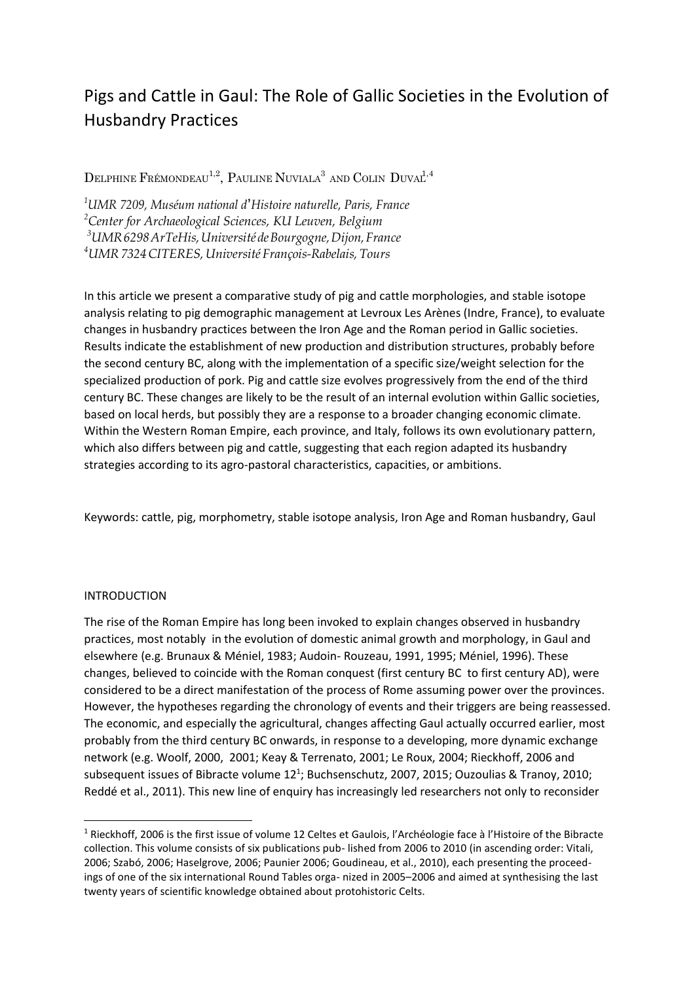# Pigs and Cattle in Gaul: The Role of Gallic Societies in the Evolution of Husbandry Practices

DELPHINE FRÉMONDEAU<sup>1,2</sup>, PAULINE NUVIALA<sup>3</sup> AND COLIN DUVAL<sup>1,4</sup>

*UMR 7209, Muséum national d*'*Histoire naturelle, Paris, France Center for Archaeological Sciences, KU Leuven, Belgium UMR6298ArTeHis,UniversitédeBourgogne,Dijon,France UMR7324CITERES,Université François-Rabelais, Tours*

In this article we present a comparative study of pig and cattle morphologies, and stable isotope analysis relating to pig demographic management at Levroux Les Arènes (Indre, France), to evaluate changes in husbandry practices between the Iron Age and the Roman period in Gallic societies. Results indicate the establishment of new production and distribution structures, probably before the second century BC, along with the implementation of a specific size/weight selection for the specialized production of pork. Pig and cattle size evolves progressively from the end of the third century BC. These changes are likely to be the result of an internal evolution within Gallic societies, based on local herds, but possibly they are a response to a broader changing economic climate. Within the Western Roman Empire, each province, and Italy, follows its own evolutionary pattern, which also differs between pig and cattle, suggesting that each region adapted its husbandry strategies according to its agro-pastoral characteristics, capacities, or ambitions.

Keywords: cattle, pig, morphometry, stable isotope analysis, Iron Age and Roman husbandry, Gaul

# INTRODUCTION

**.** 

The rise of the Roman Empire has long been invoked to explain changes observed in husbandry practices, most notably in the evolution of domestic animal growth and morphology, in Gaul and elsewhere (e.g. Brunaux & Méniel, 1983; Audoin- Rouzeau, 1991, 1995; Méniel, 1996). These changes, believed to coincide with the Roman conquest (first century BC to first century AD), were considered to be a direct manifestation of the process of Rome assuming power over the provinces. However, the hypotheses regarding the chronology of events and their triggers are being reassessed. The economic, and especially the agricultural, changes affecting Gaul actually occurred earlier, most probably from the third century BC onwards, in response to a developing, more dynamic exchange network (e.g. Woolf, 2000, 2001; Keay & Terrenato, 2001; Le Roux, 2004; Rieckhoff, 2006 and subsequent issues of Bibracte volume  $12<sup>1</sup>$ ; Buchsenschutz, 2007, 2015; Ouzoulias & Tranoy, 2010; Reddé et al., 2011). This new line of enquiry has increasingly led researchers not only to reconsider

<sup>1</sup> Rieckhoff, 2006 is the first issue of volume 12 Celtes et Gaulois, l'Archéologie face à l'Histoire of the Bibracte collection. This volume consists of six publications pub- lished from 2006 to 2010 (in ascending order: Vitali, 2006; Szabó, 2006; Haselgrove, 2006; Paunier 2006; Goudineau, et al., 2010), each presenting the proceedings of one of the six international Round Tables orga- nized in 2005–2006 and aimed at synthesising the last twenty years of scientific knowledge obtained about protohistoric Celts.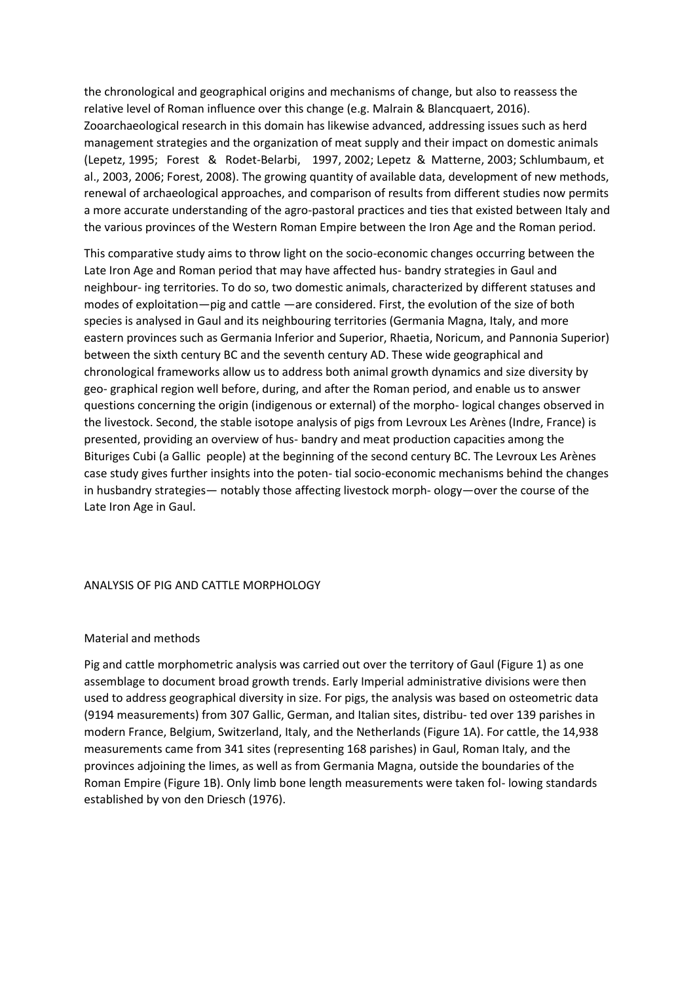the chronological and geographical origins and mechanisms of change, but also to reassess the relative level of Roman influence over this change (e.g. Malrain & Blancquaert, 2016). Zooarchaeological research in this domain has likewise advanced, addressing issues such as herd management strategies and the organization of meat supply and their impact on domestic animals (Lepetz, 1995; Forest & Rodet-Belarbi, 1997, 2002; Lepetz & Matterne, 2003; Schlumbaum, et al., 2003, 2006; Forest, 2008). The growing quantity of available data, development of new methods, renewal of archaeological approaches, and comparison of results from different studies now permits a more accurate understanding of the agro-pastoral practices and ties that existed between Italy and the various provinces of the Western Roman Empire between the Iron Age and the Roman period.

This comparative study aims to throw light on the socio-economic changes occurring between the Late Iron Age and Roman period that may have affected hus- bandry strategies in Gaul and neighbour- ing territories. To do so, two domestic animals, characterized by different statuses and modes of exploitation—pig and cattle —are considered. First, the evolution of the size of both species is analysed in Gaul and its neighbouring territories (Germania Magna, Italy, and more eastern provinces such as Germania Inferior and Superior, Rhaetia, Noricum, and Pannonia Superior) between the sixth century BC and the seventh century AD. These wide geographical and chronological frameworks allow us to address both animal growth dynamics and size diversity by geo- graphical region well before, during, and after the Roman period, and enable us to answer questions concerning the origin (indigenous or external) of the morpho- logical changes observed in the livestock. Second, the stable isotope analysis of pigs from Levroux Les Arènes (Indre, France) is presented, providing an overview of hus- bandry and meat production capacities among the Bituriges Cubi (a Gallic people) at the beginning of the second century BC. The Levroux Les Arènes case study gives further insights into the poten- tial socio-economic mechanisms behind the changes in husbandry strategies— notably those affecting livestock morph- ology—over the course of the Late Iron Age in Gaul.

# ANALYSIS OF PIG AND CATTLE MORPHOLOGY

# Material and methods

Pig and cattle morphometric analysis was carried out over the territory of Gaul (Figure 1) as one assemblage to document broad growth trends. Early Imperial administrative divisions were then used to address geographical diversity in size. For pigs, the analysis was based on osteometric data (9194 measurements) from 307 Gallic, German, and Italian sites, distribu- ted over 139 parishes in modern France, Belgium, Switzerland, Italy, and the Netherlands (Figure 1A). For cattle, the 14,938 measurements came from 341 sites (representing 168 parishes) in Gaul, Roman Italy, and the provinces adjoining the limes, as well as from Germania Magna, outside the boundaries of the Roman Empire (Figure 1B). Only limb bone length measurements were taken fol- lowing standards established by von den Driesch (1976).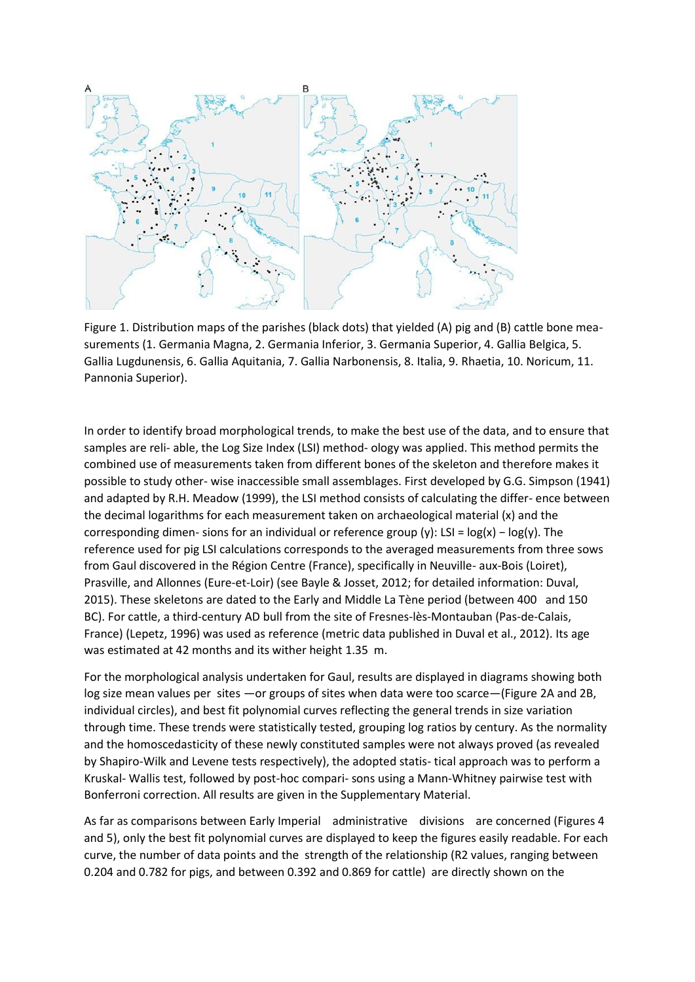

Figure 1. Distribution maps of the parishes (black dots) that yielded (A) pig and (B) cattle bone measurements (1. Germania Magna, 2. Germania Inferior, 3. Germania Superior, 4. Gallia Belgica, 5. Gallia Lugdunensis, 6. Gallia Aquitania, 7. Gallia Narbonensis, 8. Italia, 9. Rhaetia, 10. Noricum, 11. Pannonia Superior).

In order to identify broad morphological trends, to make the best use of the data, and to ensure that samples are reli- able, the Log Size Index (LSI) method- ology was applied. This method permits the combined use of measurements taken from different bones of the skeleton and therefore makes it possible to study other- wise inaccessible small assemblages. First developed by G.G. Simpson (1941) and adapted by R.H. Meadow (1999), the LSI method consists of calculating the differ- ence between the decimal logarithms for each measurement taken on archaeological material (x) and the corresponding dimen- sions for an individual or reference group (y): LSI = log(x) − log(y). The reference used for pig LSI calculations corresponds to the averaged measurements from three sows from Gaul discovered in the Région Centre (France), specifically in Neuville- aux-Bois (Loiret), Prasville, and Allonnes (Eure-et-Loir) (see Bayle & Josset, 2012; for detailed information: Duval, 2015). These skeletons are dated to the Early and Middle La Tène period (between 400 and 150 BC). For cattle, a third-century AD bull from the site of Fresnes-lès-Montauban (Pas-de-Calais, France) (Lepetz, 1996) was used as reference (metric data published in Duval et al., 2012). Its age was estimated at 42 months and its wither height 1.35 m.

For the morphological analysis undertaken for Gaul, results are displayed in diagrams showing both log size mean values per sites —or groups of sites when data were too scarce—(Figure 2A and 2B, individual circles), and best fit polynomial curves reflecting the general trends in size variation through time. These trends were statistically tested, grouping log ratios by century. As the normality and the homoscedasticity of these newly constituted samples were not always proved (as revealed by Shapiro-Wilk and Levene tests respectively), the adopted statis- tical approach was to perform a Kruskal- Wallis test, followed by post-hoc compari- sons using a Mann-Whitney pairwise test with Bonferroni correction. All results are given in the Supplementary Material.

As far as comparisons between Early Imperial administrative divisions are concerned (Figures 4 and 5), only the best fit polynomial curves are displayed to keep the figures easily readable. For each curve, the number of data points and the strength of the relationship (R2 values, ranging between 0.204 and 0.782 for pigs, and between 0.392 and 0.869 for cattle) are directly shown on the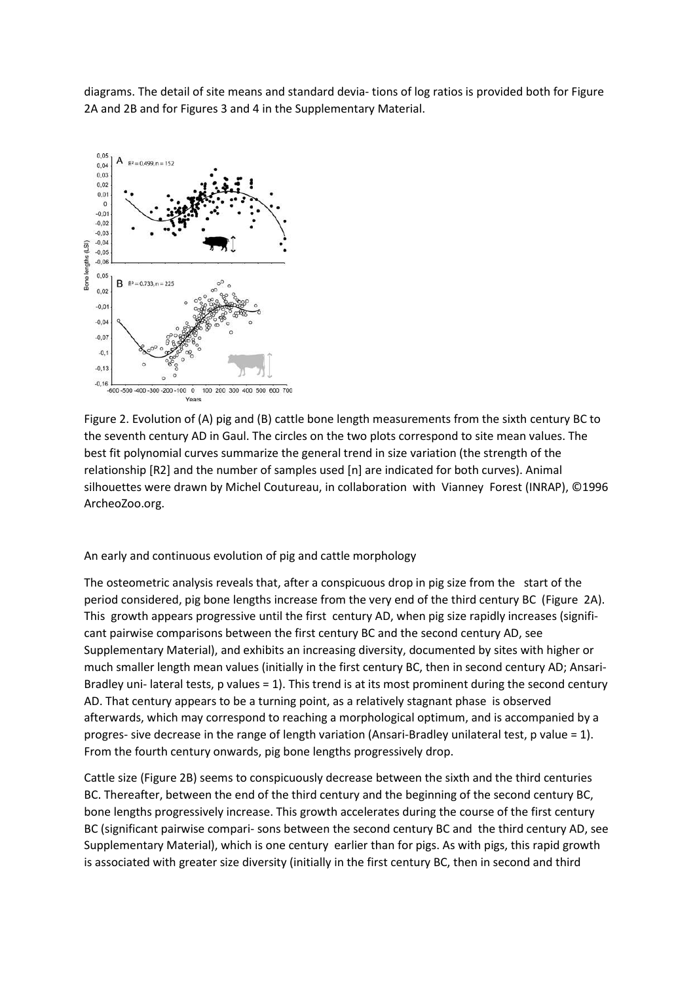diagrams. The detail of site means and standard devia- tions of log ratios is provided both for Figure 2A and 2B and for Figures 3 and 4 in the Supplementary Material.



Figure 2. Evolution of (A) pig and (B) cattle bone length measurements from the sixth century BC to the seventh century AD in Gaul. The circles on the two plots correspond to site mean values. The best fit polynomial curves summarize the general trend in size variation (the strength of the relationship [R2] and the number of samples used [n] are indicated for both curves). Animal silhouettes were drawn by Michel Coutureau, in collaboration with Vianney Forest (INRAP), ©1996 ArcheoZoo.org.

# An early and continuous evolution of pig and cattle morphology

The osteometric analysis reveals that, after a conspicuous drop in pig size from the start of the period considered, pig bone lengths increase from the very end of the third century BC (Figure 2A). This growth appears progressive until the first century AD, when pig size rapidly increases (significant pairwise comparisons between the first century BC and the second century AD, see Supplementary Material), and exhibits an increasing diversity, documented by sites with higher or much smaller length mean values (initially in the first century BC, then in second century AD; Ansari-Bradley uni- lateral tests, p values = 1). This trend is at its most prominent during the second century AD. That century appears to be a turning point, as a relatively stagnant phase is observed afterwards, which may correspond to reaching a morphological optimum, and is accompanied by a progres- sive decrease in the range of length variation (Ansari-Bradley unilateral test, p value = 1). From the fourth century onwards, pig bone lengths progressively drop.

Cattle size (Figure 2B) seems to conspicuously decrease between the sixth and the third centuries BC. Thereafter, between the end of the third century and the beginning of the second century BC, bone lengths progressively increase. This growth accelerates during the course of the first century BC (significant pairwise compari- sons between the second century BC and the third century AD, see Supplementary Material), which is one century earlier than for pigs. As with pigs, this rapid growth is associated with greater size diversity (initially in the first century BC, then in second and third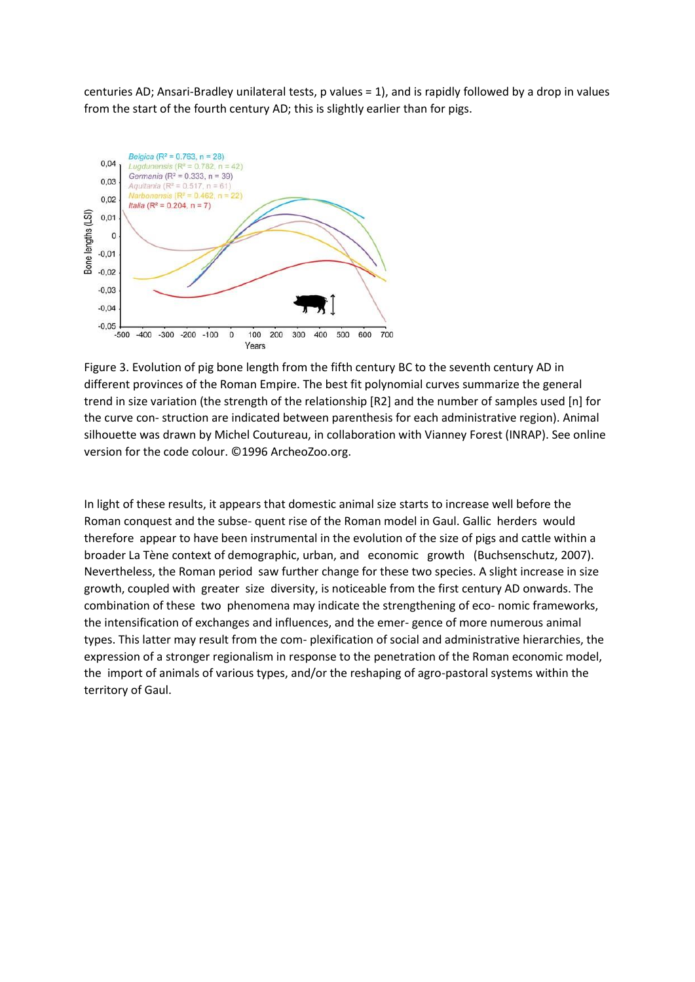centuries AD; Ansari-Bradley unilateral tests, p values = 1), and is rapidly followed by a drop in values from the start of the fourth century AD; this is slightly earlier than for pigs.



Figure 3. Evolution of pig bone length from the fifth century BC to the seventh century AD in different provinces of the Roman Empire. The best fit polynomial curves summarize the general trend in size variation (the strength of the relationship [R2] and the number of samples used [n] for the curve con- struction are indicated between parenthesis for each administrative region). Animal silhouette was drawn by Michel Coutureau, in collaboration with Vianney Forest (INRAP). See online version for the code colour. ©1996 ArcheoZoo.org.

In light of these results, it appears that domestic animal size starts to increase well before the Roman conquest and the subse- quent rise of the Roman model in Gaul. Gallic herders would therefore appear to have been instrumental in the evolution of the size of pigs and cattle within a broader La Tène context of demographic, urban, and economic growth (Buchsenschutz, 2007). Nevertheless, the Roman period saw further change for these two species. A slight increase in size growth, coupled with greater size diversity, is noticeable from the first century AD onwards. The combination of these two phenomena may indicate the strengthening of eco- nomic frameworks, the intensification of exchanges and influences, and the emer- gence of more numerous animal types. This latter may result from the com- plexification of social and administrative hierarchies, the expression of a stronger regionalism in response to the penetration of the Roman economic model, the import of animals of various types, and/or the reshaping of agro-pastoral systems within the territory of Gaul.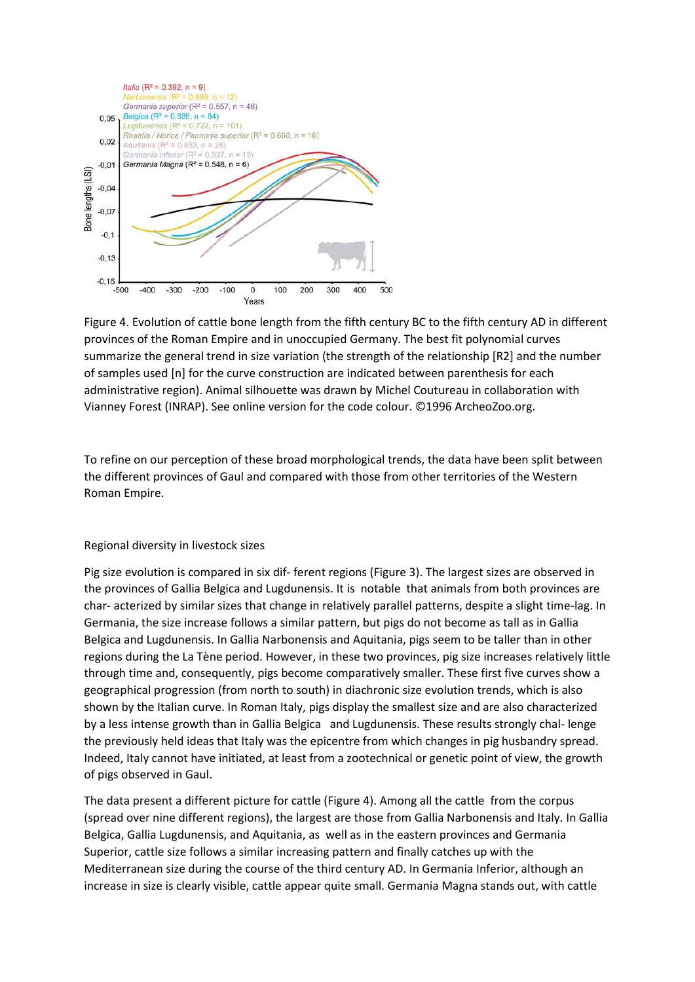

Figure 4. Evolution of cattle bone length from the fifth century BC to the fifth century AD in different provinces of the Roman Empire and in unoccupied Germany. The best fit polynomial curves summarize the general trend in size variation (the strength of the relationship [R2] and the number of samples used [n] for the curve construction are indicated between parenthesis for each administrative region). Animal silhouette was drawn by Michel Coutureau in collaboration with Vianney Forest (INRAP). See online version for the code colour. ©1996 ArcheoZoo.org.

To refine on our perception of these broad morphological trends, the data have been split between the different provinces of Gaul and compared with those from other territories of the Western Roman Empire.

# Regional diversity in livestock sizes

Pig size evolution is compared in six dif- ferent regions (Figure 3). The largest sizes are observed in the provinces of Gallia Belgica and Lugdunensis. It is notable that animals from both provinces are char- acterized by similar sizes that change in relatively parallel patterns, despite a slight time-lag. In Germania, the size increase follows a similar pattern, but pigs do not become as tall as in Gallia Belgica and Lugdunensis. In Gallia Narbonensis and Aquitania, pigs seem to be taller than in other regions during the La Tène period. However, in these two provinces, pig size increases relatively little through time and, consequently, pigs become comparatively smaller. These first five curves show a geographical progression (from north to south) in diachronic size evolution trends, which is also shown by the Italian curve. In Roman Italy, pigs display the smallest size and are also characterized by a less intense growth than in Gallia Belgica and Lugdunensis. These results strongly chal- lenge the previously held ideas that Italy was the epicentre from which changes in pig husbandry spread. Indeed, Italy cannot have initiated, at least from a zootechnical or genetic point of view, the growth of pigs observed in Gaul.

The data present a different picture for cattle (Figure 4). Among all the cattle from the corpus (spread over nine different regions), the largest are those from Gallia Narbonensis and Italy. In Gallia Belgica, Gallia Lugdunensis, and Aquitania, as well as in the eastern provinces and Germania Superior, cattle size follows a similar increasing pattern and finally catches up with the Mediterranean size during the course of the third century AD. In Germania Inferior, although an increase in size is clearly visible, cattle appear quite small. Germania Magna stands out, with cattle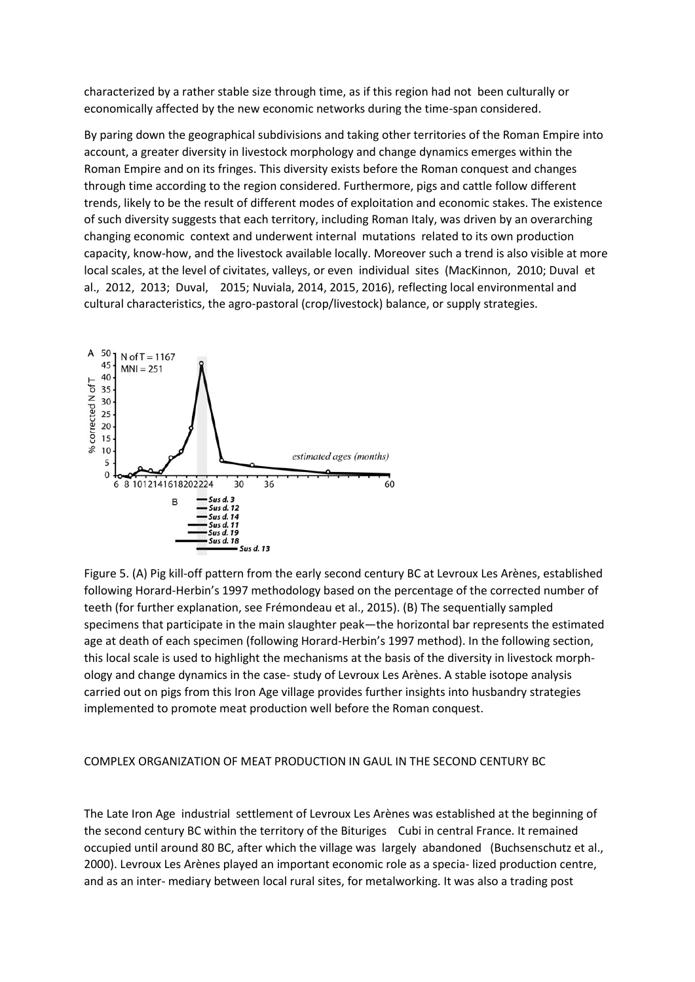characterized by a rather stable size through time, as if this region had not been culturally or economically affected by the new economic networks during the time-span considered.

By paring down the geographical subdivisions and taking other territories of the Roman Empire into account, a greater diversity in livestock morphology and change dynamics emerges within the Roman Empire and on its fringes. This diversity exists before the Roman conquest and changes through time according to the region considered. Furthermore, pigs and cattle follow different trends, likely to be the result of different modes of exploitation and economic stakes. The existence of such diversity suggests that each territory, including Roman Italy, was driven by an overarching changing economic context and underwent internal mutations related to its own production capacity, know-how, and the livestock available locally. Moreover such a trend is also visible at more local scales, at the level of civitates, valleys, or even individual sites (MacKinnon, 2010; Duval et al., 2012, 2013; Duval, 2015; Nuviala, 2014, 2015, 2016), reflecting local environmental and cultural characteristics, the agro-pastoral (crop/livestock) balance, or supply strategies.



Figure 5. (A) Pig kill-off pattern from the early second century BC at Levroux Les Arènes, established following Horard-Herbin's 1997 methodology based on the percentage of the corrected number of teeth (for further explanation, see Frémondeau et al., 2015). (B) The sequentially sampled specimens that participate in the main slaughter peak—the horizontal bar represents the estimated age at death of each specimen (following Horard-Herbin's 1997 method). In the following section, this local scale is used to highlight the mechanisms at the basis of the diversity in livestock morphology and change dynamics in the case- study of Levroux Les Arènes. A stable isotope analysis carried out on pigs from this Iron Age village provides further insights into husbandry strategies implemented to promote meat production well before the Roman conquest.

# COMPLEX ORGANIZATION OF MEAT PRODUCTION IN GAUL IN THE SECOND CENTURY BC

The Late Iron Age industrial settlement of Levroux Les Arènes was established at the beginning of the second century BC within the territory of the Bituriges Cubi in central France. It remained occupied until around 80 BC, after which the village was largely abandoned (Buchsenschutz et al., 2000). Levroux Les Arènes played an important economic role as a specia- lized production centre, and as an inter- mediary between local rural sites, for metalworking. It was also a trading post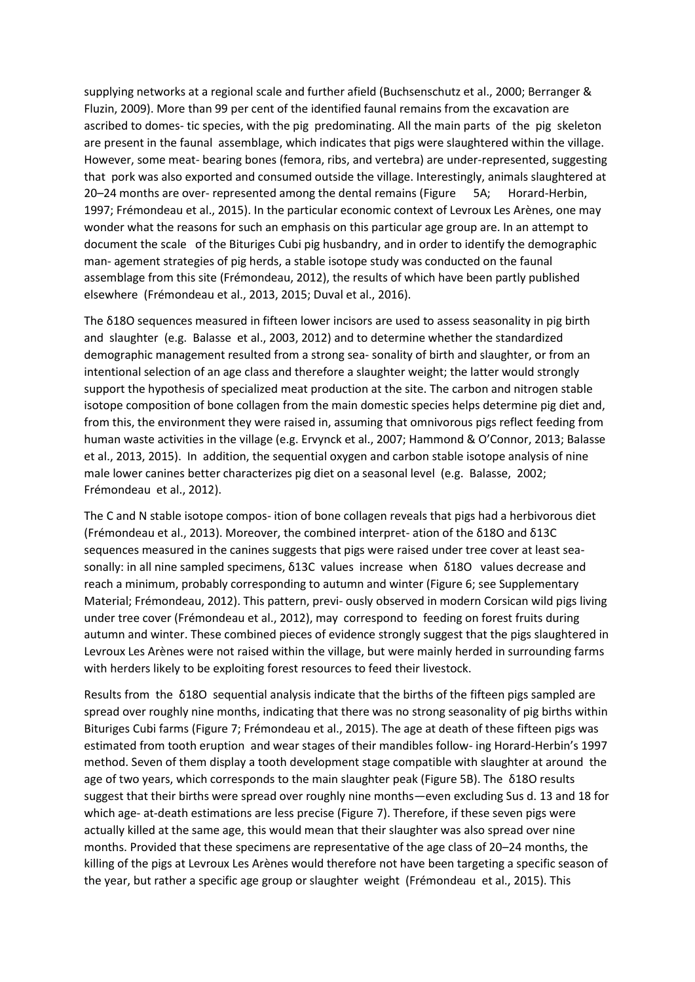supplying networks at a regional scale and further afield (Buchsenschutz et al., 2000; Berranger & Fluzin, 2009). More than 99 per cent of the identified faunal remains from the excavation are ascribed to domes- tic species, with the pig predominating. All the main parts of the pig skeleton are present in the faunal assemblage, which indicates that pigs were slaughtered within the village. However, some meat- bearing bones (femora, ribs, and vertebra) are under-represented, suggesting that pork was also exported and consumed outside the village. Interestingly, animals slaughtered at 20–24 months are over- represented among the dental remains (Figure 5A; Horard-Herbin, 1997; Frémondeau et al., 2015). In the particular economic context of Levroux Les Arènes, one may wonder what the reasons for such an emphasis on this particular age group are. In an attempt to document the scale of the Bituriges Cubi pig husbandry, and in order to identify the demographic man- agement strategies of pig herds, a stable isotope study was conducted on the faunal assemblage from this site (Frémondeau, 2012), the results of which have been partly published elsewhere (Frémondeau et al., 2013, 2015; Duval et al., 2016).

The δ18O sequences measured in fifteen lower incisors are used to assess seasonality in pig birth and slaughter (e.g. Balasse et al., 2003, 2012) and to determine whether the standardized demographic management resulted from a strong sea- sonality of birth and slaughter, or from an intentional selection of an age class and therefore a slaughter weight; the latter would strongly support the hypothesis of specialized meat production at the site. The carbon and nitrogen stable isotope composition of bone collagen from the main domestic species helps determine pig diet and, from this, the environment they were raised in, assuming that omnivorous pigs reflect feeding from human waste activities in the village (e.g. Ervynck et al., 2007; Hammond & O'Connor, 2013; Balasse et al., 2013, 2015). In addition, the sequential oxygen and carbon stable isotope analysis of nine male lower canines better characterizes pig diet on a seasonal level (e.g. Balasse, 2002; Frémondeau et al., 2012).

The C and N stable isotope compos- ition of bone collagen reveals that pigs had a herbivorous diet (Frémondeau et al., 2013). Moreover, the combined interpret- ation of the δ18O and δ13C sequences measured in the canines suggests that pigs were raised under tree cover at least seasonally: in all nine sampled specimens, δ13C values increase when δ18O values decrease and reach a minimum, probably corresponding to autumn and winter (Figure 6; see Supplementary Material; Frémondeau, 2012). This pattern, previ- ously observed in modern Corsican wild pigs living under tree cover (Frémondeau et al., 2012), may correspond to feeding on forest fruits during autumn and winter. These combined pieces of evidence strongly suggest that the pigs slaughtered in Levroux Les Arènes were not raised within the village, but were mainly herded in surrounding farms with herders likely to be exploiting forest resources to feed their livestock.

Results from the δ18O sequential analysis indicate that the births of the fifteen pigs sampled are spread over roughly nine months, indicating that there was no strong seasonality of pig births within Bituriges Cubi farms (Figure 7; Frémondeau et al., 2015). The age at death of these fifteen pigs was estimated from tooth eruption and wear stages of their mandibles follow- ing Horard-Herbin's 1997 method. Seven of them display a tooth development stage compatible with slaughter at around the age of two years, which corresponds to the main slaughter peak (Figure 5B). The δ18O results suggest that their births were spread over roughly nine months—even excluding Sus d. 13 and 18 for which age- at-death estimations are less precise (Figure 7). Therefore, if these seven pigs were actually killed at the same age, this would mean that their slaughter was also spread over nine months. Provided that these specimens are representative of the age class of 20–24 months, the killing of the pigs at Levroux Les Arènes would therefore not have been targeting a specific season of the year, but rather a specific age group or slaughter weight (Frémondeau et al., 2015). This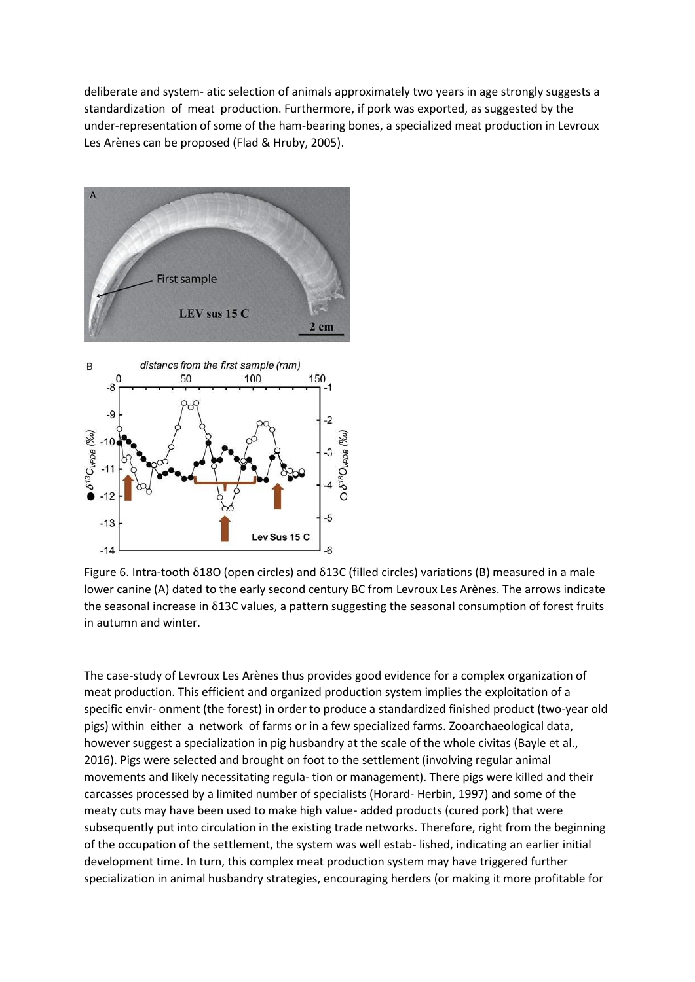deliberate and system- atic selection of animals approximately two years in age strongly suggests a standardization of meat production. Furthermore, if pork was exported, as suggested by the under-representation of some of the ham-bearing bones, a specialized meat production in Levroux Les Arènes can be proposed (Flad & Hruby, 2005).



Figure 6. Intra-tooth δ18O (open circles) and δ13C (filled circles) variations (B) measured in a male lower canine (A) dated to the early second century BC from Levroux Les Arènes. The arrows indicate the seasonal increase in δ13C values, a pattern suggesting the seasonal consumption of forest fruits in autumn and winter.

The case-study of Levroux Les Arènes thus provides good evidence for a complex organization of meat production. This efficient and organized production system implies the exploitation of a specific envir- onment (the forest) in order to produce a standardized finished product (two-year old pigs) within either a network of farms or in a few specialized farms. Zooarchaeological data, however suggest a specialization in pig husbandry at the scale of the whole civitas (Bayle et al., 2016). Pigs were selected and brought on foot to the settlement (involving regular animal movements and likely necessitating regula- tion or management). There pigs were killed and their carcasses processed by a limited number of specialists (Horard- Herbin, 1997) and some of the meaty cuts may have been used to make high value- added products (cured pork) that were subsequently put into circulation in the existing trade networks. Therefore, right from the beginning of the occupation of the settlement, the system was well estab- lished, indicating an earlier initial development time. In turn, this complex meat production system may have triggered further specialization in animal husbandry strategies, encouraging herders (or making it more profitable for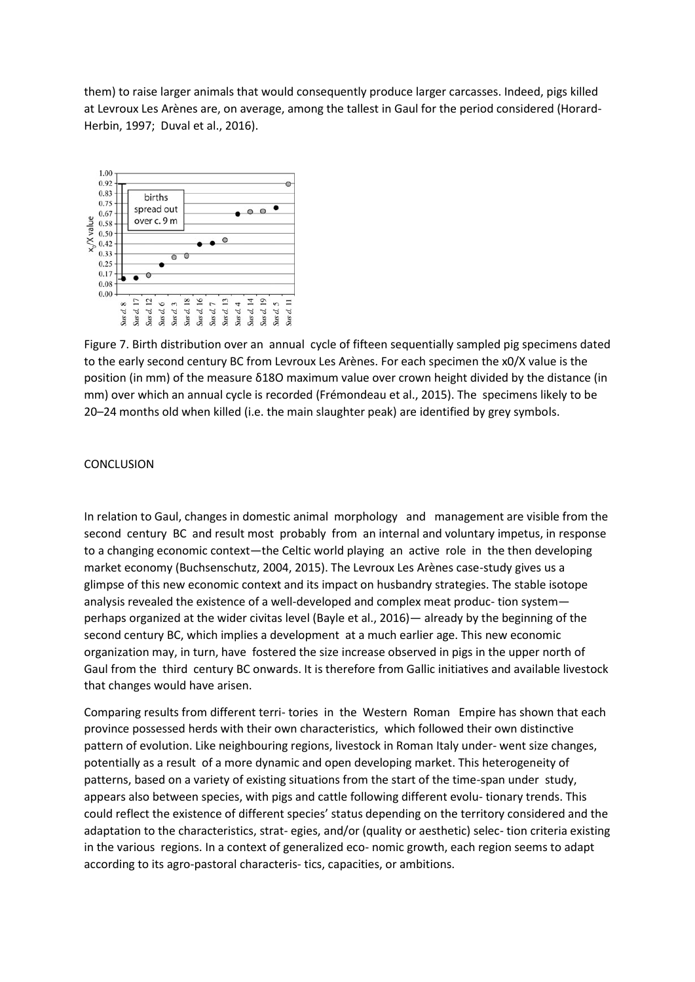them) to raise larger animals that would consequently produce larger carcasses. Indeed, pigs killed at Levroux Les Arènes are, on average, among the tallest in Gaul for the period considered (Horard-Herbin, 1997; Duval et al., 2016).



Figure 7. Birth distribution over an annual cycle of fifteen sequentially sampled pig specimens dated to the early second century BC from Levroux Les Arènes. For each specimen the x0/X value is the position (in mm) of the measure δ18O maximum value over crown height divided by the distance (in mm) over which an annual cycle is recorded (Frémondeau et al., 2015). The specimens likely to be 20–24 months old when killed (i.e. the main slaughter peak) are identified by grey symbols.

### **CONCLUSION**

In relation to Gaul, changes in domestic animal morphology and management are visible from the second century BC and result most probably from an internal and voluntary impetus, in response to a changing economic context—the Celtic world playing an active role in the then developing market economy (Buchsenschutz, 2004, 2015). The Levroux Les Arènes case-study gives us a glimpse of this new economic context and its impact on husbandry strategies. The stable isotope analysis revealed the existence of a well-developed and complex meat produc- tion system perhaps organized at the wider civitas level (Bayle et al., 2016)— already by the beginning of the second century BC, which implies a development at a much earlier age. This new economic organization may, in turn, have fostered the size increase observed in pigs in the upper north of Gaul from the third century BC onwards. It is therefore from Gallic initiatives and available livestock that changes would have arisen.

Comparing results from different terri- tories in the Western Roman Empire has shown that each province possessed herds with their own characteristics, which followed their own distinctive pattern of evolution. Like neighbouring regions, livestock in Roman Italy under- went size changes, potentially as a result of a more dynamic and open developing market. This heterogeneity of patterns, based on a variety of existing situations from the start of the time-span under study, appears also between species, with pigs and cattle following different evolu- tionary trends. This could reflect the existence of different species' status depending on the territory considered and the adaptation to the characteristics, strat- egies, and/or (quality or aesthetic) selec- tion criteria existing in the various regions. In a context of generalized eco- nomic growth, each region seems to adapt according to its agro-pastoral characteris- tics, capacities, or ambitions.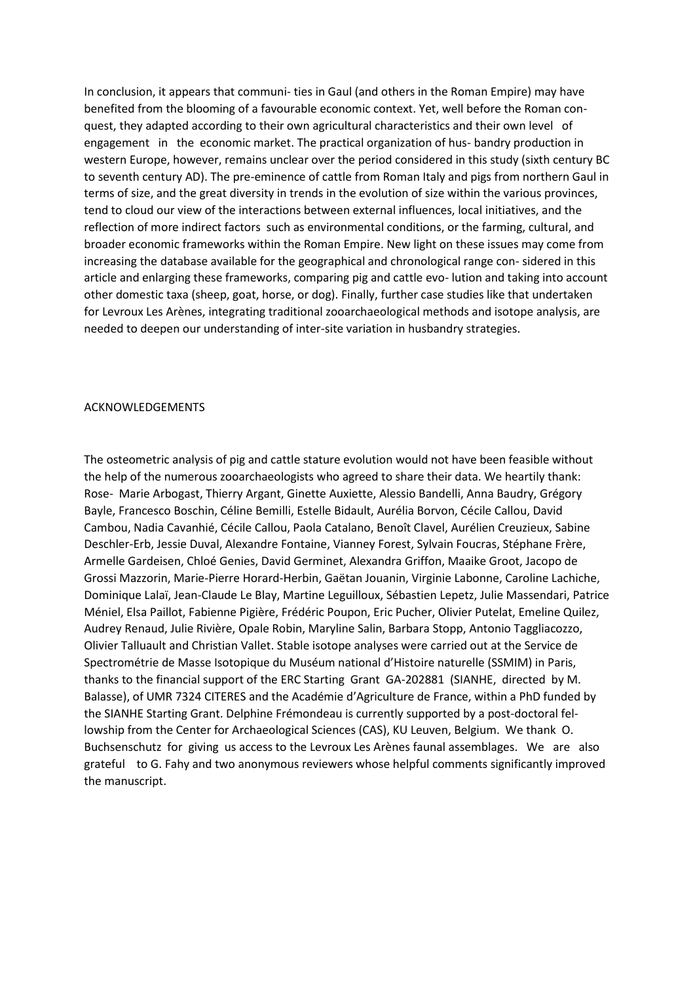In conclusion, it appears that communi- ties in Gaul (and others in the Roman Empire) may have benefited from the blooming of a favourable economic context. Yet, well before the Roman conquest, they adapted according to their own agricultural characteristics and their own level of engagement in the economic market. The practical organization of hus- bandry production in western Europe, however, remains unclear over the period considered in this study (sixth century BC to seventh century AD). The pre-eminence of cattle from Roman Italy and pigs from northern Gaul in terms of size, and the great diversity in trends in the evolution of size within the various provinces, tend to cloud our view of the interactions between external influences, local initiatives, and the reflection of more indirect factors such as environmental conditions, or the farming, cultural, and broader economic frameworks within the Roman Empire. New light on these issues may come from increasing the database available for the geographical and chronological range con- sidered in this article and enlarging these frameworks, comparing pig and cattle evo- lution and taking into account other domestic taxa (sheep, goat, horse, or dog). Finally, further case studies like that undertaken for Levroux Les Arènes, integrating traditional zooarchaeological methods and isotope analysis, are needed to deepen our understanding of inter-site variation in husbandry strategies.

#### ACKNOWLEDGEMENTS

The osteometric analysis of pig and cattle stature evolution would not have been feasible without the help of the numerous zooarchaeologists who agreed to share their data. We heartily thank: Rose- Marie Arbogast, Thierry Argant, Ginette Auxiette, Alessio Bandelli, Anna Baudry, Grégory Bayle, Francesco Boschin, Céline Bemilli, Estelle Bidault, Aurélia Borvon, Cécile Callou, David Cambou, Nadia Cavanhié, Cécile Callou, Paola Catalano, Benoît Clavel, Aurélien Creuzieux, Sabine Deschler-Erb, Jessie Duval, Alexandre Fontaine, Vianney Forest, Sylvain Foucras, Stéphane Frère, Armelle Gardeisen, Chloé Genies, David Germinet, Alexandra Griffon, Maaike Groot, Jacopo de Grossi Mazzorin, Marie-Pierre Horard-Herbin, Gaëtan Jouanin, Virginie Labonne, Caroline Lachiche, Dominique Lalaï, Jean-Claude Le Blay, Martine Leguilloux, Sébastien Lepetz, Julie Massendari, Patrice Méniel, Elsa Paillot, Fabienne Pigière, Frédéric Poupon, Eric Pucher, Olivier Putelat, Emeline Quilez, Audrey Renaud, Julie Rivière, Opale Robin, Maryline Salin, Barbara Stopp, Antonio Taggliacozzo, Olivier Talluault and Christian Vallet. Stable isotope analyses were carried out at the Service de Spectrométrie de Masse Isotopique du Muséum national d'Histoire naturelle (SSMIM) in Paris, thanks to the financial support of the ERC Starting Grant GA-202881 (SIANHE, directed by M. Balasse), of UMR 7324 CITERES and the Académie d'Agriculture de France, within a PhD funded by the SIANHE Starting Grant. Delphine Frémondeau is currently supported by a post-doctoral fellowship from the Center for Archaeological Sciences (CAS), KU Leuven, Belgium. We thank O. Buchsenschutz for giving us access to the Levroux Les Arènes faunal assemblages. We are also grateful to G. Fahy and two anonymous reviewers whose helpful comments significantly improved the manuscript.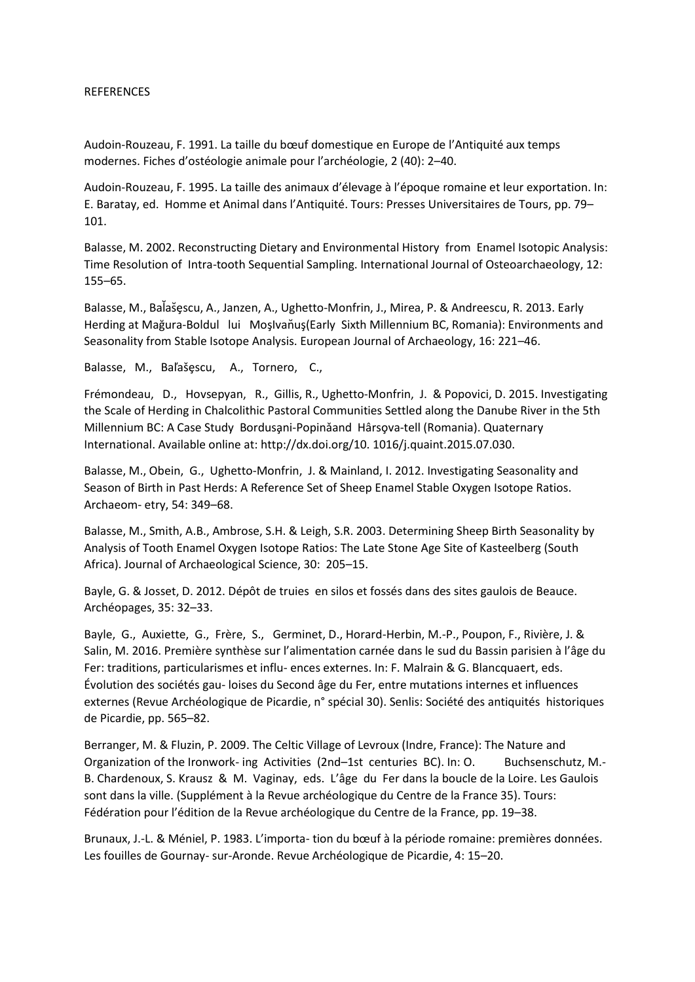#### REFERENCES

Audoin-Rouzeau, F. 1991. La taille du bœuf domestique en Europe de l'Antiquité aux temps modernes. Fiches d'ostéologie animale pour l'archéologie, 2 (40): 2–40.

Audoin-Rouzeau, F. 1995. La taille des animaux d'élevage à l'époque romaine et leur exportation. In: E. Baratay, ed. Homme et Animal dans l'Antiquité. Tours: Presses Universitaires de Tours, pp. 79– 101.

Balasse, M. 2002. Reconstructing Dietary and Environmental History from Enamel Isotopic Analysis: Time Resolution of Intra-tooth Sequential Sampling. International Journal of Osteoarchaeology, 12: 155–65.

Balasse, M., Balašęscu, A., Janzen, A., Ughetto-Monfrin, J., Mirea, P. & Andreescu, R. 2013. Early Herding at Mağura-Boldul lui MoşIvan̆uş(Early Sixth Millennium BC, Romania): Environments and Seasonality from Stable Isotope Analysis. European Journal of Archaeology, 16: 221–46.

Balasse, M., Baľašęscu, A., Tornero, C.,

Frémondeau, D., Hovsepyan, R., Gillis, R., Ughetto-Monfrin, J. & Popovici, D. 2015. Investigating the Scale of Herding in Chalcolithic Pastoral Communities Settled along the Danube River in the 5th Millennium BC: A Case Study Bordusani-Popinǎand Hârsova-tell (Romania). Quaternary International. Available online at: http://dx.doi.org/10. 1016/j.quaint.2015.07.030.

Balasse, M., Obein, G., Ughetto-Monfrin, J. & Mainland, I. 2012. Investigating Seasonality and Season of Birth in Past Herds: A Reference Set of Sheep Enamel Stable Oxygen Isotope Ratios. Archaeom- etry, 54: 349–68.

Balasse, M., Smith, A.B., Ambrose, S.H. & Leigh, S.R. 2003. Determining Sheep Birth Seasonality by Analysis of Tooth Enamel Oxygen Isotope Ratios: The Late Stone Age Site of Kasteelberg (South Africa). Journal of Archaeological Science, 30: 205–15.

Bayle, G. & Josset, D. 2012. Dépôt de truies en silos et fossés dans des sites gaulois de Beauce. Archéopages, 35: 32–33.

Bayle, G., Auxiette, G., Frère, S., Germinet, D., Horard-Herbin, M.-P., Poupon, F., Rivière, J. & Salin, M. 2016. Première synthèse sur l'alimentation carnée dans le sud du Bassin parisien à l'âge du Fer: traditions, particularismes et influ- ences externes. In: F. Malrain & G. Blancquaert, eds. Évolution des sociétés gau- loises du Second âge du Fer, entre mutations internes et influences externes (Revue Archéologique de Picardie, n° spécial 30). Senlis: Société des antiquités historiques de Picardie, pp. 565–82.

Berranger, M. & Fluzin, P. 2009. The Celtic Village of Levroux (Indre, France): The Nature and Organization of the Ironwork- ing Activities (2nd–1st centuries BC). In: O. Buchsenschutz, M.- B. Chardenoux, S. Krausz & M. Vaginay, eds. L'âge du Fer dans la boucle de la Loire. Les Gaulois sont dans la ville. (Supplément à la Revue archéologique du Centre de la France 35). Tours: Fédération pour l'édition de la Revue archéologique du Centre de la France, pp. 19–38.

Brunaux, J.-L. & Méniel, P. 1983. L'importa- tion du bœuf à la période romaine: premières données. Les fouilles de Gournay- sur-Aronde. Revue Archéologique de Picardie, 4: 15–20.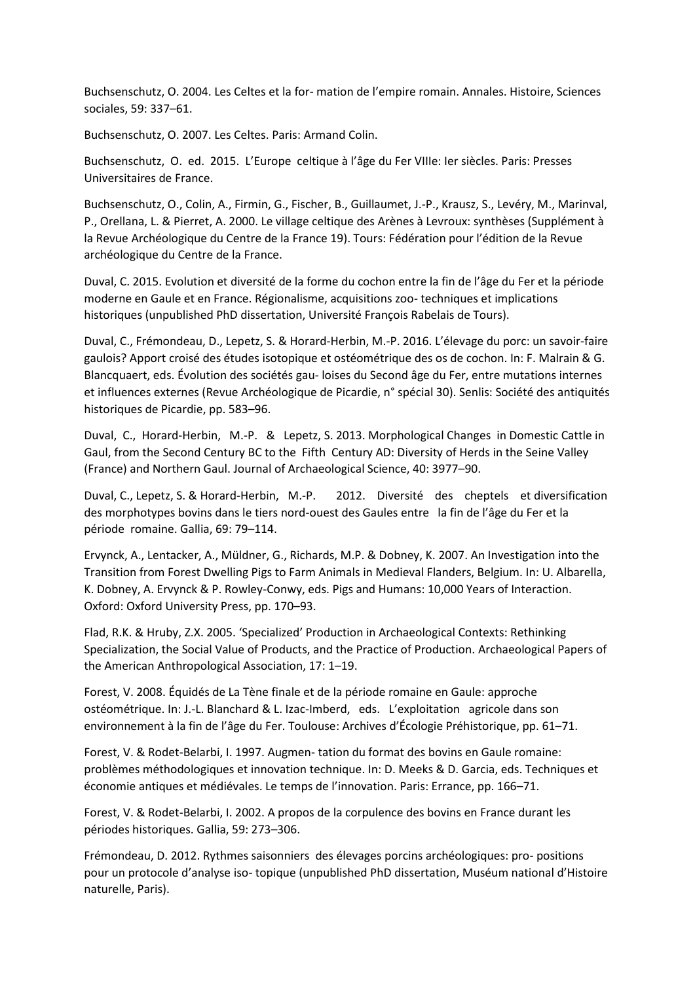Buchsenschutz, O. 2004. Les Celtes et la for- mation de l'empire romain. Annales. Histoire, Sciences sociales, 59: 337–61.

Buchsenschutz, O. 2007. Les Celtes. Paris: Armand Colin.

Buchsenschutz, O. ed. 2015. L'Europe celtique à l'âge du Fer VIIIe: Ier siècles. Paris: Presses Universitaires de France.

Buchsenschutz, O., Colin, A., Firmin, G., Fischer, B., Guillaumet, J.-P., Krausz, S., Levéry, M., Marinval, P., Orellana, L. & Pierret, A. 2000. Le village celtique des Arènes à Levroux: synthèses (Supplément à la Revue Archéologique du Centre de la France 19). Tours: Fédération pour l'édition de la Revue archéologique du Centre de la France.

Duval, C. 2015. Evolution et diversité de la forme du cochon entre la fin de l'âge du Fer et la période moderne en Gaule et en France. Régionalisme, acquisitions zoo- techniques et implications historiques (unpublished PhD dissertation, Université François Rabelais de Tours).

Duval, C., Frémondeau, D., Lepetz, S. & Horard-Herbin, M.-P. 2016. L'élevage du porc: un savoir-faire gaulois? Apport croisé des études isotopique et ostéométrique des os de cochon. In: F. Malrain & G. Blancquaert, eds. Évolution des sociétés gau- loises du Second âge du Fer, entre mutations internes et influences externes (Revue Archéologique de Picardie, n° spécial 30). Senlis: Société des antiquités historiques de Picardie, pp. 583–96.

Duval, C., Horard-Herbin, M.-P. & Lepetz, S. 2013. Morphological Changes in Domestic Cattle in Gaul, from the Second Century BC to the Fifth Century AD: Diversity of Herds in the Seine Valley (France) and Northern Gaul. Journal of Archaeological Science, 40: 3977–90.

Duval, C., Lepetz, S. & Horard-Herbin, M.-P. 2012. Diversité des cheptels et diversification des morphotypes bovins dans le tiers nord-ouest des Gaules entre la fin de l'âge du Fer et la période romaine. Gallia, 69: 79–114.

Ervynck, A., Lentacker, A., Müldner, G., Richards, M.P. & Dobney, K. 2007. An Investigation into the Transition from Forest Dwelling Pigs to Farm Animals in Medieval Flanders, Belgium. In: U. Albarella, K. Dobney, A. Ervynck & P. Rowley-Conwy, eds. Pigs and Humans: 10,000 Years of Interaction. Oxford: Oxford University Press, pp. 170–93.

Flad, R.K. & Hruby, Z.X. 2005. 'Specialized' Production in Archaeological Contexts: Rethinking Specialization, the Social Value of Products, and the Practice of Production. Archaeological Papers of the American Anthropological Association, 17: 1–19.

Forest, V. 2008. Équidés de La Tène finale et de la période romaine en Gaule: approche ostéométrique. In: J.-L. Blanchard & L. Izac-Imberd, eds. L'exploitation agricole dans son environnement à la fin de l'âge du Fer. Toulouse: Archives d'Écologie Préhistorique, pp. 61–71.

Forest, V. & Rodet-Belarbi, I. 1997. Augmen- tation du format des bovins en Gaule romaine: problèmes méthodologiques et innovation technique. In: D. Meeks & D. Garcia, eds. Techniques et économie antiques et médiévales. Le temps de l'innovation. Paris: Errance, pp. 166–71.

Forest, V. & Rodet-Belarbi, I. 2002. A propos de la corpulence des bovins en France durant les périodes historiques. Gallia, 59: 273–306.

Frémondeau, D. 2012. Rythmes saisonniers des élevages porcins archéologiques: pro- positions pour un protocole d'analyse iso- topique (unpublished PhD dissertation, Muséum national d'Histoire naturelle, Paris).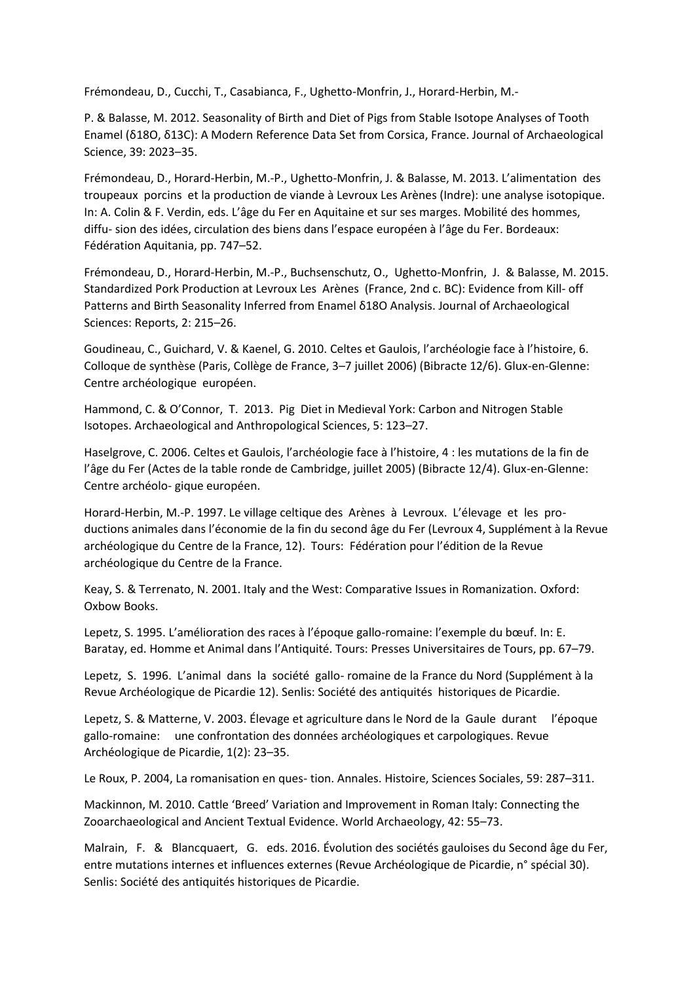Frémondeau, D., Cucchi, T., Casabianca, F., Ughetto-Monfrin, J., Horard-Herbin, M.-

P. & Balasse, M. 2012. Seasonality of Birth and Diet of Pigs from Stable Isotope Analyses of Tooth Enamel (δ18O, δ13C): A Modern Reference Data Set from Corsica, France. Journal of Archaeological Science, 39: 2023–35.

Frémondeau, D., Horard-Herbin, M.-P., Ughetto-Monfrin, J. & Balasse, M. 2013. L'alimentation des troupeaux porcins et la production de viande à Levroux Les Arènes (Indre): une analyse isotopique. In: A. Colin & F. Verdin, eds. L'âge du Fer en Aquitaine et sur ses marges. Mobilité des hommes, diffu- sion des idées, circulation des biens dans l'espace européen à l'âge du Fer. Bordeaux: Fédération Aquitania, pp. 747–52.

Frémondeau, D., Horard-Herbin, M.-P., Buchsenschutz, O., Ughetto-Monfrin, J. & Balasse, M. 2015. Standardized Pork Production at Levroux Les Arènes (France, 2nd c. BC): Evidence from Kill- off Patterns and Birth Seasonality Inferred from Enamel δ18O Analysis. Journal of Archaeological Sciences: Reports, 2: 215–26.

Goudineau, C., Guichard, V. & Kaenel, G. 2010. Celtes et Gaulois, l'archéologie face à l'histoire, 6. Colloque de synthèse (Paris, Collège de France, 3–7 juillet 2006) (Bibracte 12/6). Glux-en-Glenne: Centre archéologique européen.

Hammond, C. & O'Connor, T. 2013. Pig Diet in Medieval York: Carbon and Nitrogen Stable Isotopes. Archaeological and Anthropological Sciences, 5: 123–27.

Haselgrove, C. 2006. Celtes et Gaulois, l'archéologie face à l'histoire, 4 : les mutations de la fin de l'âge du Fer (Actes de la table ronde de Cambridge, juillet 2005) (Bibracte 12/4). Glux-en-Glenne: Centre archéolo- gique européen.

Horard-Herbin, M.-P. 1997. Le village celtique des Arènes à Levroux. L'élevage et les productions animales dans l'économie de la fin du second âge du Fer (Levroux 4, Supplément à la Revue archéologique du Centre de la France, 12). Tours: Fédération pour l'édition de la Revue archéologique du Centre de la France.

Keay, S. & Terrenato, N. 2001. Italy and the West: Comparative Issues in Romanization. Oxford: Oxbow Books.

Lepetz, S. 1995. L'amélioration des races à l'époque gallo-romaine: l'exemple du bœuf. In: E. Baratay, ed. Homme et Animal dans l'Antiquité. Tours: Presses Universitaires de Tours, pp. 67–79.

Lepetz, S. 1996. L'animal dans la société gallo- romaine de la France du Nord (Supplément à la Revue Archéologique de Picardie 12). Senlis: Société des antiquités historiques de Picardie.

Lepetz, S. & Matterne, V. 2003. Élevage et agriculture dans le Nord de la Gaule durant l'époque gallo-romaine: une confrontation des données archéologiques et carpologiques. Revue Archéologique de Picardie, 1(2): 23–35.

Le Roux, P. 2004, La romanisation en ques- tion. Annales. Histoire, Sciences Sociales, 59: 287–311.

Mackinnon, M. 2010. Cattle 'Breed' Variation and Improvement in Roman Italy: Connecting the Zooarchaeological and Ancient Textual Evidence. World Archaeology, 42: 55–73.

Malrain, F. & Blancquaert, G. eds. 2016. Évolution des sociétés gauloises du Second âge du Fer, entre mutations internes et influences externes (Revue Archéologique de Picardie, n° spécial 30). Senlis: Société des antiquités historiques de Picardie.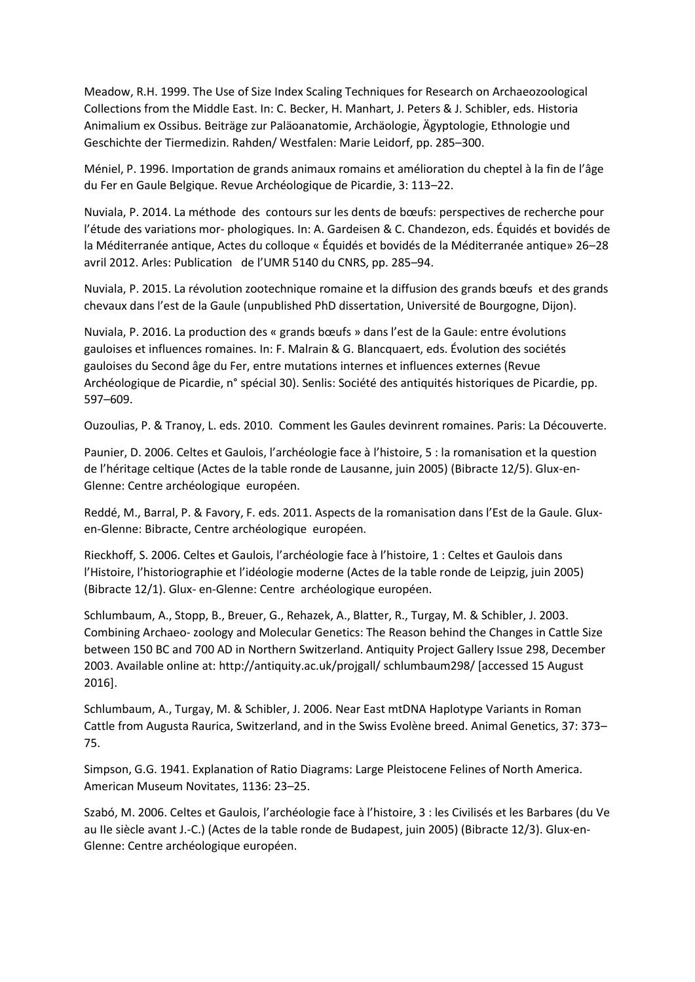Meadow, R.H. 1999. The Use of Size Index Scaling Techniques for Research on Archaeozoological Collections from the Middle East. In: C. Becker, H. Manhart, J. Peters & J. Schibler, eds. Historia Animalium ex Ossibus. Beiträge zur Paläoanatomie, Archäologie, Ägyptologie, Ethnologie und Geschichte der Tiermedizin. Rahden/ Westfalen: Marie Leidorf, pp. 285–300.

Méniel, P. 1996. Importation de grands animaux romains et amélioration du cheptel à la fin de l'âge du Fer en Gaule Belgique. Revue Archéologique de Picardie, 3: 113–22.

Nuviala, P. 2014. La méthode des contours sur les dents de bœufs: perspectives de recherche pour l'étude des variations mor- phologiques. In: A. Gardeisen & C. Chandezon, eds. Équidés et bovidés de la Méditerranée antique, Actes du colloque « Équidés et bovidés de la Méditerranée antique» 26–28 avril 2012. Arles: Publication de l'UMR 5140 du CNRS, pp. 285–94.

Nuviala, P. 2015. La révolution zootechnique romaine et la diffusion des grands bœufs et des grands chevaux dans l'est de la Gaule (unpublished PhD dissertation, Université de Bourgogne, Dijon).

Nuviala, P. 2016. La production des « grands bœufs » dans l'est de la Gaule: entre évolutions gauloises et influences romaines. In: F. Malrain & G. Blancquaert, eds. Évolution des sociétés gauloises du Second âge du Fer, entre mutations internes et influences externes (Revue Archéologique de Picardie, n° spécial 30). Senlis: Société des antiquités historiques de Picardie, pp. 597–609.

Ouzoulias, P. & Tranoy, L. eds. 2010. Comment les Gaules devinrent romaines. Paris: La Découverte.

Paunier, D. 2006. Celtes et Gaulois, l'archéologie face à l'histoire, 5 : la romanisation et la question de l'héritage celtique (Actes de la table ronde de Lausanne, juin 2005) (Bibracte 12/5). Glux-en-Glenne: Centre archéologique européen.

Reddé, M., Barral, P. & Favory, F. eds. 2011. Aspects de la romanisation dans l'Est de la Gaule. Gluxen-Glenne: Bibracte, Centre archéologique européen.

Rieckhoff, S. 2006. Celtes et Gaulois, l'archéologie face à l'histoire, 1 : Celtes et Gaulois dans l'Histoire, l'historiographie et l'idéologie moderne (Actes de la table ronde de Leipzig, juin 2005) (Bibracte 12/1). Glux- en-Glenne: Centre archéologique européen.

Schlumbaum, A., Stopp, B., Breuer, G., Rehazek, A., Blatter, R., Turgay, M. & Schibler, J. 2003. Combining Archaeo- zoology and Molecular Genetics: The Reason behind the Changes in Cattle Size between 150 BC and 700 AD in Northern Switzerland. Antiquity Project Gallery Issue 298, December 2003. Available online at: http://antiquity.ac.uk/projgall/ schlumbaum298/ [accessed 15 August 2016].

Schlumbaum, A., Turgay, M. & Schibler, J. 2006. Near East mtDNA Haplotype Variants in Roman Cattle from Augusta Raurica, Switzerland, and in the Swiss Evolène breed. Animal Genetics, 37: 373– 75.

Simpson, G.G. 1941. Explanation of Ratio Diagrams: Large Pleistocene Felines of North America. American Museum Novitates, 1136: 23–25.

Szabó, M. 2006. Celtes et Gaulois, l'archéologie face à l'histoire, 3 : les Civilisés et les Barbares (du Ve au IIe siècle avant J.-C.) (Actes de la table ronde de Budapest, juin 2005) (Bibracte 12/3). Glux-en-Glenne: Centre archéologique européen.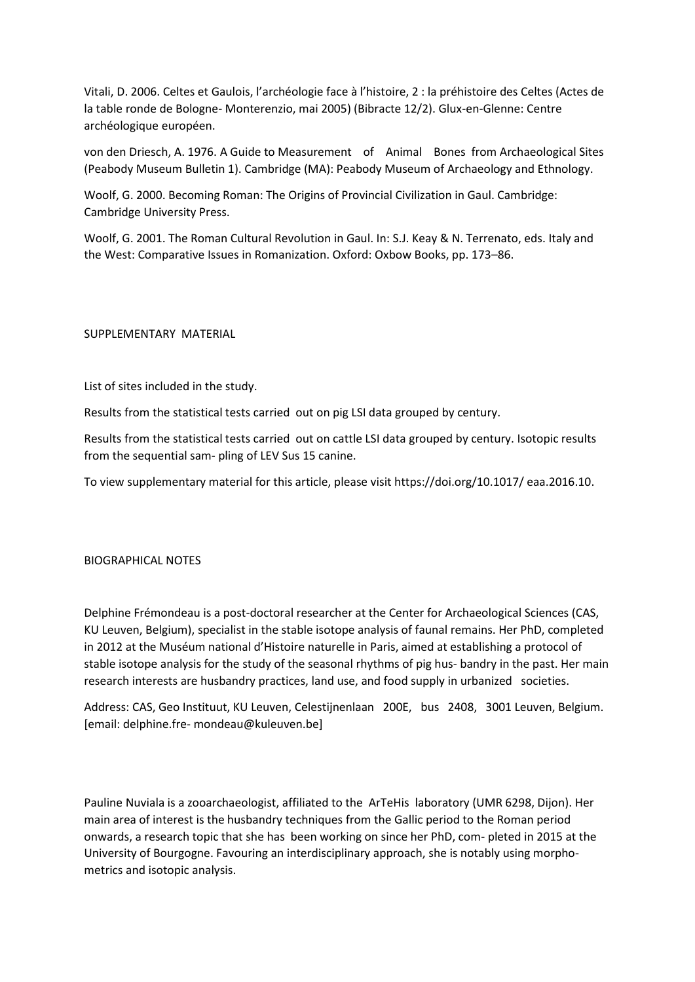Vitali, D. 2006. Celtes et Gaulois, l'archéologie face à l'histoire, 2 : la préhistoire des Celtes (Actes de la table ronde de Bologne- Monterenzio, mai 2005) (Bibracte 12/2). Glux-en-Glenne: Centre archéologique européen.

von den Driesch, A. 1976. A Guide to Measurement of Animal Bones from Archaeological Sites (Peabody Museum Bulletin 1). Cambridge (MA): Peabody Museum of Archaeology and Ethnology.

Woolf, G. 2000. Becoming Roman: The Origins of Provincial Civilization in Gaul. Cambridge: Cambridge University Press.

Woolf, G. 2001. The Roman Cultural Revolution in Gaul. In: S.J. Keay & N. Terrenato, eds. Italy and the West: Comparative Issues in Romanization. Oxford: Oxbow Books, pp. 173–86.

# SUPPLEMENTARY MATERIAL

List of sites included in the study.

Results from the statistical tests carried out on pig LSI data grouped by century.

Results from the statistical tests carried out on cattle LSI data grouped by century. Isotopic results from the sequential sam- pling of LEV Sus 15 canine.

To view supplementary material for this article, please visit https://doi.org/10.1017/ eaa.2016.10.

# BIOGRAPHICAL NOTES

Delphine Frémondeau is a post-doctoral researcher at the Center for Archaeological Sciences (CAS, KU Leuven, Belgium), specialist in the stable isotope analysis of faunal remains. Her PhD, completed in 2012 at the Muséum national d'Histoire naturelle in Paris, aimed at establishing a protocol of stable isotope analysis for the study of the seasonal rhythms of pig hus- bandry in the past. Her main research interests are husbandry practices, land use, and food supply in urbanized societies.

Address: CAS, Geo Instituut, KU Leuven, Celestijnenlaan 200E, bus 2408, 3001 Leuven, Belgium. [email: delphine.fre- mondeau@kuleuven.be]

Pauline Nuviala is a zooarchaeologist, affiliated to the ArTeHis laboratory (UMR 6298, Dijon). Her main area of interest is the husbandry techniques from the Gallic period to the Roman period onwards, a research topic that she has been working on since her PhD, com- pleted in 2015 at the University of Bourgogne. Favouring an interdisciplinary approach, she is notably using morphometrics and isotopic analysis.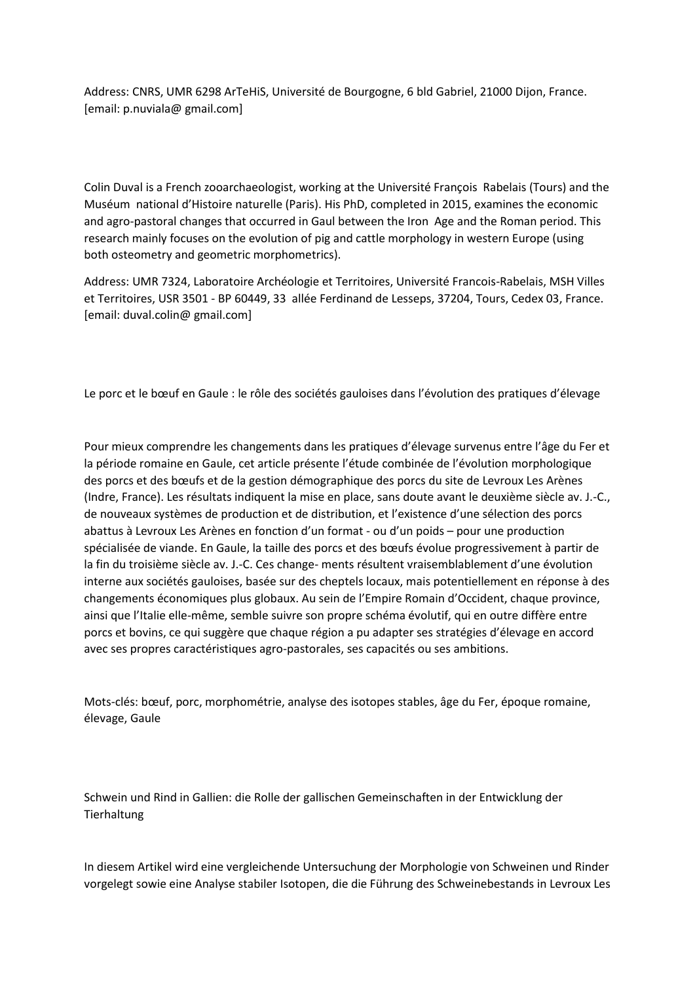Address: CNRS, UMR 6298 ArTeHiS, Université de Bourgogne, 6 bld Gabriel, 21000 Dijon, France. [email: p.nuviala@ gmail.com]

Colin Duval is a French zooarchaeologist, working at the Université François Rabelais (Tours) and the Muséum national d'Histoire naturelle (Paris). His PhD, completed in 2015, examines the economic and agro-pastoral changes that occurred in Gaul between the Iron Age and the Roman period. This research mainly focuses on the evolution of pig and cattle morphology in western Europe (using both osteometry and geometric morphometrics).

Address: UMR 7324, Laboratoire Archéologie et Territoires, Université Francois-Rabelais, MSH Villes et Territoires, USR 3501 - BP 60449, 33 allée Ferdinand de Lesseps, 37204, Tours, Cedex 03, France. [email: duval.colin@ gmail.com]

Le porc et le bœuf en Gaule : le rôle des sociétés gauloises dans l'évolution des pratiques d'élevage

Pour mieux comprendre les changements dans les pratiques d'élevage survenus entre l'âge du Fer et la période romaine en Gaule, cet article présente l'étude combinée de l'évolution morphologique des porcs et des bœufs et de la gestion démographique des porcs du site de Levroux Les Arènes (Indre, France). Les résultats indiquent la mise en place, sans doute avant le deuxième siècle av. J.-C., de nouveaux systèmes de production et de distribution, et l'existence d'une sélection des porcs abattus à Levroux Les Arènes en fonction d'un format - ou d'un poids – pour une production spécialisée de viande. En Gaule, la taille des porcs et des bœufs évolue progressivement à partir de la fin du troisième siècle av. J.-C. Ces change- ments résultent vraisemblablement d'une évolution interne aux sociétés gauloises, basée sur des cheptels locaux, mais potentiellement en réponse à des changements économiques plus globaux. Au sein de l'Empire Romain d'Occident, chaque province, ainsi que l'Italie elle-même, semble suivre son propre schéma évolutif, qui en outre diffère entre porcs et bovins, ce qui suggère que chaque région a pu adapter ses stratégies d'élevage en accord avec ses propres caractéristiques agro-pastorales, ses capacités ou ses ambitions.

Mots-clés: bœuf, porc, morphométrie, analyse des isotopes stables, âge du Fer, époque romaine, élevage, Gaule

Schwein und Rind in Gallien: die Rolle der gallischen Gemeinschaften in der Entwicklung der **Tierhaltung** 

In diesem Artikel wird eine vergleichende Untersuchung der Morphologie von Schweinen und Rinder vorgelegt sowie eine Analyse stabiler Isotopen, die die Führung des Schweinebestands in Levroux Les